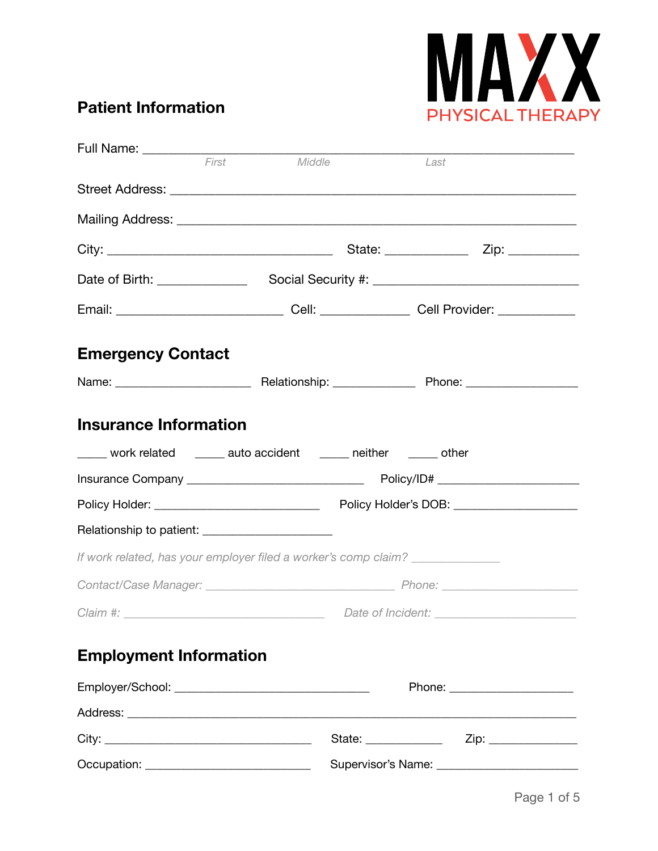

## **Patient Information**

|                                                                   | First<br>Middle | Last |                                                 |
|-------------------------------------------------------------------|-----------------|------|-------------------------------------------------|
|                                                                   |                 |      |                                                 |
|                                                                   |                 |      |                                                 |
|                                                                   |                 |      |                                                 |
|                                                                   |                 |      |                                                 |
|                                                                   |                 |      |                                                 |
| <b>Emergency Contact</b>                                          |                 |      |                                                 |
|                                                                   |                 |      |                                                 |
| <b>Insurance Information</b>                                      |                 |      |                                                 |
| _____ work related ______ auto accident _____ neither _____ other |                 |      |                                                 |
|                                                                   |                 |      |                                                 |
|                                                                   |                 |      |                                                 |
| Relationship to patient: _________________________                |                 |      |                                                 |
| If work related, has your employer filed a worker's comp claim?   |                 |      |                                                 |
|                                                                   |                 |      |                                                 |
|                                                                   |                 |      |                                                 |
| <b>Employment Information</b>                                     |                 |      |                                                 |
|                                                                   |                 |      | Phone: _______________________                  |
|                                                                   |                 |      |                                                 |
|                                                                   |                 |      |                                                 |
| Occupation: ________________________________                      |                 |      | Supervisor's Name: ____________________________ |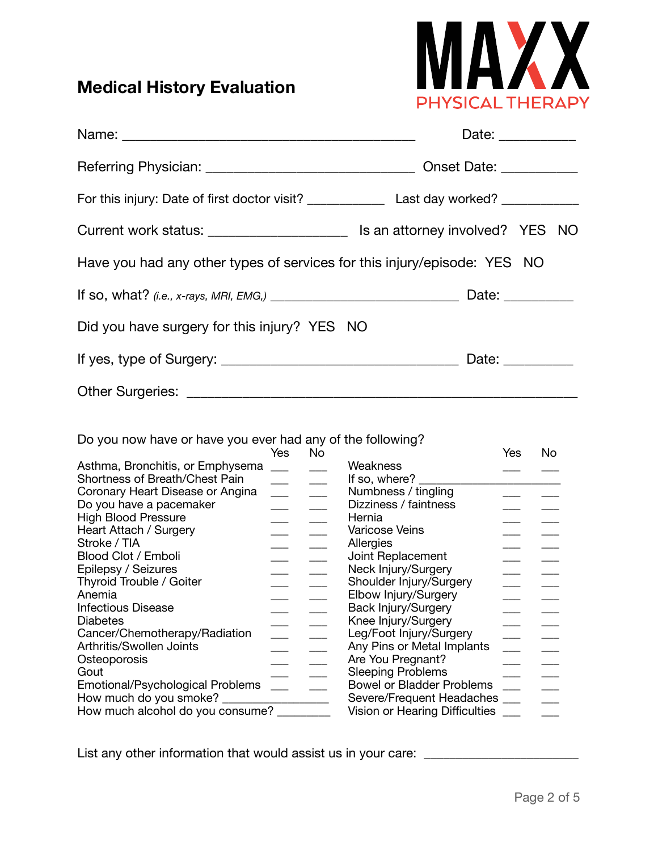# **Medical History Evaluation**



|                                                                          | Date: ____________       |
|--------------------------------------------------------------------------|--------------------------|
|                                                                          |                          |
|                                                                          |                          |
|                                                                          |                          |
| Have you had any other types of services for this injury/episode: YES NO |                          |
|                                                                          |                          |
| Did you have surgery for this injury? YES NO                             |                          |
|                                                                          | Date: <u>Date: Date:</u> |
|                                                                          |                          |

#### Do you now have or have you ever had any of the following?

|                                  | Yes | No |                                  | Yes | No |
|----------------------------------|-----|----|----------------------------------|-----|----|
| Asthma, Bronchitis, or Emphysema |     |    | Weakness                         |     |    |
| Shortness of Breath/Chest Pain   |     |    | If so, where?                    |     |    |
| Coronary Heart Disease or Angina |     |    | Numbness / tingling              |     |    |
| Do you have a pacemaker          |     |    | Dizziness / faintness            |     |    |
| <b>High Blood Pressure</b>       |     |    | Hernia                           |     |    |
| Heart Attach / Surgery           |     |    | <b>Varicose Veins</b>            |     |    |
| Stroke / TIA                     |     |    | Allergies                        |     |    |
| Blood Clot / Emboli              |     |    | Joint Replacement                |     |    |
| Epilepsy / Seizures              |     |    | Neck Injury/Surgery              |     |    |
| Thyroid Trouble / Goiter         |     |    | Shoulder Injury/Surgery          |     |    |
| Anemia                           |     |    | Elbow Injury/Surgery             |     |    |
| <b>Infectious Disease</b>        |     |    | Back Injury/Surgery              |     |    |
| <b>Diabetes</b>                  |     |    | Knee Injury/Surgery              |     |    |
| Cancer/Chemotherapy/Radiation    |     |    | Leg/Foot Injury/Surgery          |     |    |
|                                  |     |    |                                  |     |    |
| Arthritis/Swollen Joints         |     |    | Any Pins or Metal Implants       |     |    |
| Osteoporosis                     |     |    | Are You Pregnant?                |     |    |
| Gout                             |     |    | <b>Sleeping Problems</b>         |     |    |
| Emotional/Psychological Problems |     |    | <b>Bowel or Bladder Problems</b> |     |    |
| How much do you smoke?           |     |    | Severe/Frequent Headaches ___    |     |    |
| How much alcohol do you consume? |     |    | Vision or Hearing Difficulties   |     |    |

List any other information that would assist us in your care: \_\_\_\_\_\_\_\_\_\_\_\_\_\_\_\_\_\_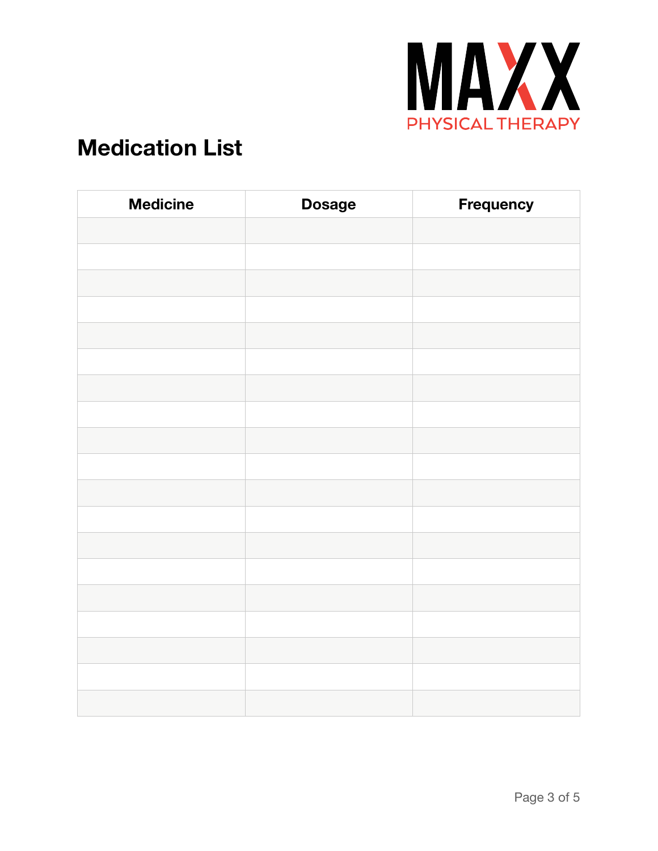

# **Medication List**

| <b>Medicine</b> | <b>Dosage</b> | Frequency |
|-----------------|---------------|-----------|
|                 |               |           |
|                 |               |           |
|                 |               |           |
|                 |               |           |
|                 |               |           |
|                 |               |           |
|                 |               |           |
|                 |               |           |
|                 |               |           |
|                 |               |           |
|                 |               |           |
|                 |               |           |
|                 |               |           |
|                 |               |           |
|                 |               |           |
|                 |               |           |
|                 |               |           |
|                 |               |           |
|                 |               |           |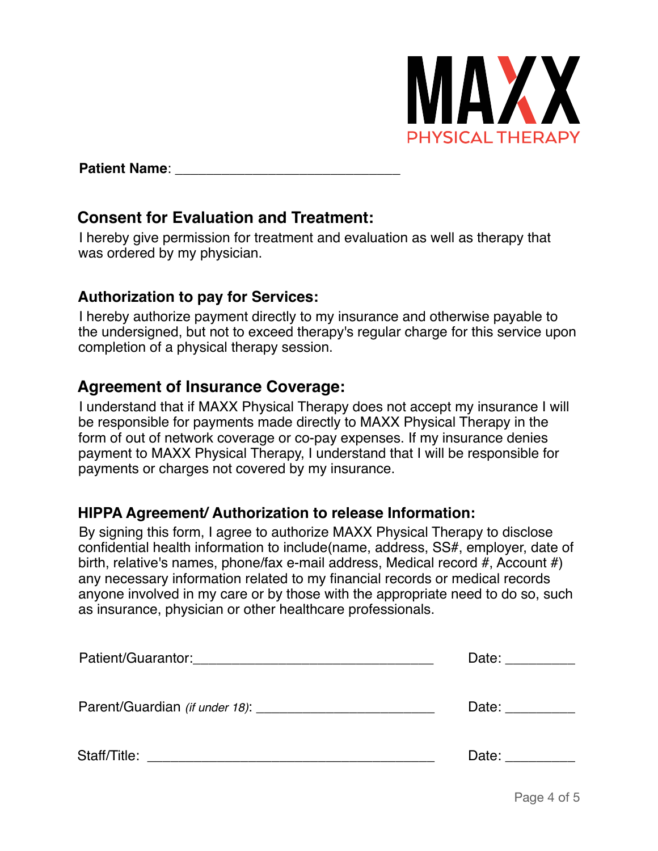

#### **Patient Name:**

## **Consent for Evaluation and Treatment:**

I hereby give permission for treatment and evaluation as well as therapy that was ordered by my physician.

### **Authorization to pay for Services:**

I hereby authorize payment directly to my insurance and otherwise payable to the undersigned, but not to exceed therapy's regular charge for this service upon completion of a physical therapy session.

## **Agreement of Insurance Coverage:**

I understand that if MAXX Physical Therapy does not accept my insurance I will be responsible for payments made directly to MAXX Physical Therapy in the form of out of network coverage or co-pay expenses. If my insurance denies payment to MAXX Physical Therapy, I understand that I will be responsible for payments or charges not covered by my insurance.

## **HIPPA Agreement/ Authorization to release Information:**

By signing this form, I agree to authorize MAXX Physical Therapy to disclose confidential health information to include(name, address, SS#, employer, date of birth, relative's names, phone/fax e-mail address, Medical record #, Account #) any necessary information related to my financial records or medical records anyone involved in my care or by those with the appropriate need to do so, such as insurance, physician or other healthcare professionals.

|                                                                                  | Date: __________    |
|----------------------------------------------------------------------------------|---------------------|
| Parent/Guardian (if under 18):                                                   | Date: Date:         |
| Staff/Title:<br><u> 2001 - Jan Barnett, president eta politikaria (h. 1878).</u> | Date: $\frac{1}{2}$ |